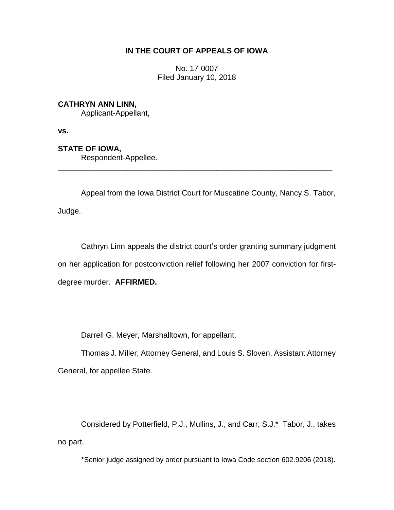# **IN THE COURT OF APPEALS OF IOWA**

No. 17-0007 Filed January 10, 2018

## **CATHRYN ANN LINN,**

Applicant-Appellant,

**vs.**

# **STATE OF IOWA,**

Respondent-Appellee.

Appeal from the Iowa District Court for Muscatine County, Nancy S. Tabor, Judge.

\_\_\_\_\_\_\_\_\_\_\_\_\_\_\_\_\_\_\_\_\_\_\_\_\_\_\_\_\_\_\_\_\_\_\_\_\_\_\_\_\_\_\_\_\_\_\_\_\_\_\_\_\_\_\_\_\_\_\_\_\_\_\_\_

Cathryn Linn appeals the district court's order granting summary judgment on her application for postconviction relief following her 2007 conviction for firstdegree murder. **AFFIRMED.**

Darrell G. Meyer, Marshalltown, for appellant.

Thomas J. Miller, Attorney General, and Louis S. Sloven, Assistant Attorney General, for appellee State.

Considered by Potterfield, P.J., Mullins, J., and Carr, S.J.\* Tabor, J., takes no part.

\*Senior judge assigned by order pursuant to Iowa Code section 602.9206 (2018).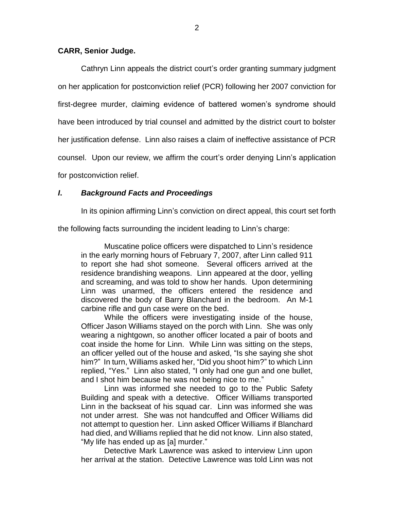### **CARR, Senior Judge.**

Cathryn Linn appeals the district court's order granting summary judgment on her application for postconviction relief (PCR) following her 2007 conviction for first-degree murder, claiming evidence of battered women's syndrome should have been introduced by trial counsel and admitted by the district court to bolster her justification defense. Linn also raises a claim of ineffective assistance of PCR counsel. Upon our review, we affirm the court's order denying Linn's application for postconviction relief.

### *I***.** *Background Facts and Proceedings*

In its opinion affirming Linn's conviction on direct appeal, this court set forth

the following facts surrounding the incident leading to Linn's charge:

Muscatine police officers were dispatched to Linn's residence in the early morning hours of February 7, 2007, after Linn called 911 to report she had shot someone. Several officers arrived at the residence brandishing weapons. Linn appeared at the door, yelling and screaming, and was told to show her hands. Upon determining Linn was unarmed, the officers entered the residence and discovered the body of Barry Blanchard in the bedroom. An M-1 carbine rifle and gun case were on the bed.

While the officers were investigating inside of the house, Officer Jason Williams stayed on the porch with Linn. She was only wearing a nightgown, so another officer located a pair of boots and coat inside the home for Linn. While Linn was sitting on the steps, an officer yelled out of the house and asked, "Is she saying she shot him?" In turn, Williams asked her, "Did you shoot him?" to which Linn replied, "Yes." Linn also stated, "I only had one gun and one bullet, and I shot him because he was not being nice to me."

Linn was informed she needed to go to the Public Safety Building and speak with a detective. Officer Williams transported Linn in the backseat of his squad car. Linn was informed she was not under arrest. She was not handcuffed and Officer Williams did not attempt to question her. Linn asked Officer Williams if Blanchard had died, and Williams replied that he did not know. Linn also stated, "My life has ended up as [a] murder."

Detective Mark Lawrence was asked to interview Linn upon her arrival at the station. Detective Lawrence was told Linn was not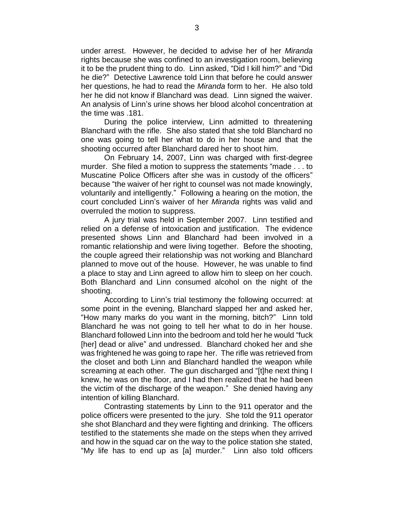under arrest. However, he decided to advise her of her *Miranda* rights because she was confined to an investigation room, believing it to be the prudent thing to do. Linn asked, "Did I kill him?" and "Did he die?" Detective Lawrence told Linn that before he could answer her questions, he had to read the *Miranda* form to her. He also told her he did not know if Blanchard was dead. Linn signed the waiver. An analysis of Linn's urine shows her blood alcohol concentration at the time was .181.

During the police interview, Linn admitted to threatening Blanchard with the rifle. She also stated that she told Blanchard no one was going to tell her what to do in her house and that the shooting occurred after Blanchard dared her to shoot him.

On February 14, 2007, Linn was charged with first-degree murder. She filed a motion to suppress the statements "made . . . to Muscatine Police Officers after she was in custody of the officers" because "the waiver of her right to counsel was not made knowingly, voluntarily and intelligently." Following a hearing on the motion, the court concluded Linn's waiver of her *Miranda* rights was valid and overruled the motion to suppress.

A jury trial was held in September 2007. Linn testified and relied on a defense of intoxication and justification. The evidence presented shows Linn and Blanchard had been involved in a romantic relationship and were living together. Before the shooting, the couple agreed their relationship was not working and Blanchard planned to move out of the house. However, he was unable to find a place to stay and Linn agreed to allow him to sleep on her couch. Both Blanchard and Linn consumed alcohol on the night of the shooting.

According to Linn's trial testimony the following occurred: at some point in the evening, Blanchard slapped her and asked her, "How many marks do you want in the morning, bitch?" Linn told Blanchard he was not going to tell her what to do in her house. Blanchard followed Linn into the bedroom and told her he would "fuck [her] dead or alive" and undressed. Blanchard choked her and she was frightened he was going to rape her. The rifle was retrieved from the closet and both Linn and Blanchard handled the weapon while screaming at each other. The gun discharged and "[t]he next thing I knew, he was on the floor, and I had then realized that he had been the victim of the discharge of the weapon." She denied having any intention of killing Blanchard.

Contrasting statements by Linn to the 911 operator and the police officers were presented to the jury. She told the 911 operator she shot Blanchard and they were fighting and drinking. The officers testified to the statements she made on the steps when they arrived and how in the squad car on the way to the police station she stated, "My life has to end up as [a] murder." Linn also told officers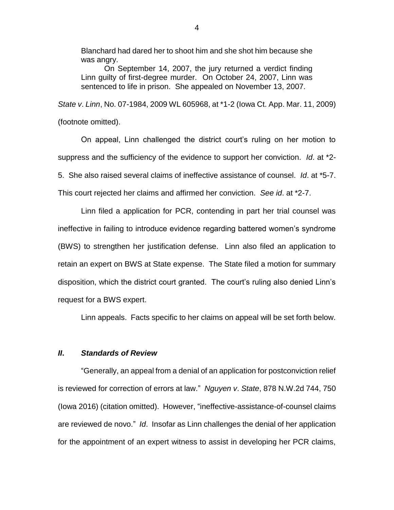Blanchard had dared her to shoot him and she shot him because she was angry.

On September 14, 2007, the jury returned a verdict finding Linn guilty of first-degree murder. On October 24, 2007, Linn was sentenced to life in prison. She appealed on November 13, 2007.

*State v*. *Linn*, No. 07-1984, 2009 WL 605968, at \*1-2 (Iowa Ct. App. Mar. 11, 2009) (footnote omitted).

On appeal, Linn challenged the district court's ruling on her motion to suppress and the sufficiency of the evidence to support her conviction. *Id*. at \*2- 5. She also raised several claims of ineffective assistance of counsel. *Id*. at \*5-7. This court rejected her claims and affirmed her conviction. *See id*. at \*2-7.

Linn filed a application for PCR, contending in part her trial counsel was ineffective in failing to introduce evidence regarding battered women's syndrome (BWS) to strengthen her justification defense. Linn also filed an application to retain an expert on BWS at State expense. The State filed a motion for summary disposition, which the district court granted. The court's ruling also denied Linn's request for a BWS expert.

Linn appeals. Facts specific to her claims on appeal will be set forth below.

### *II***.** *Standards of Review*

"Generally, an appeal from a denial of an application for postconviction relief is reviewed for correction of errors at law." *Nguyen v*. *State*, 878 N.W.2d 744, 750 (Iowa 2016) (citation omitted). However, "ineffective-assistance-of-counsel claims are reviewed de novo." *Id*. Insofar as Linn challenges the denial of her application for the appointment of an expert witness to assist in developing her PCR claims,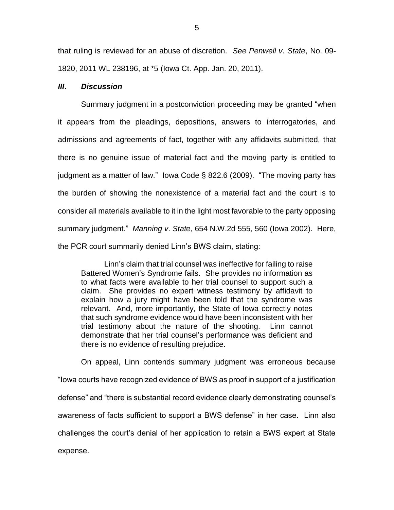that ruling is reviewed for an abuse of discretion. *See Penwell v*. *State*, No. 09- 1820, 2011 WL 238196, at \*5 (Iowa Ct. App. Jan. 20, 2011).

#### *III***.** *Discussion*

Summary judgment in a postconviction proceeding may be granted "when it appears from the pleadings, depositions, answers to interrogatories, and admissions and agreements of fact, together with any affidavits submitted, that there is no genuine issue of material fact and the moving party is entitled to judgment as a matter of law." Iowa Code § 822.6 (2009). "The moving party has the burden of showing the nonexistence of a material fact and the court is to consider all materials available to it in the light most favorable to the party opposing summary judgment." *Manning v*. *State*, 654 N.W.2d 555, 560 (Iowa 2002). Here, the PCR court summarily denied Linn's BWS claim, stating:

Linn's claim that trial counsel was ineffective for failing to raise Battered Women's Syndrome fails. She provides no information as to what facts were available to her trial counsel to support such a claim. She provides no expert witness testimony by affidavit to explain how a jury might have been told that the syndrome was relevant. And, more importantly, the State of Iowa correctly notes that such syndrome evidence would have been inconsistent with her trial testimony about the nature of the shooting. Linn cannot demonstrate that her trial counsel's performance was deficient and there is no evidence of resulting prejudice.

On appeal, Linn contends summary judgment was erroneous because "Iowa courts have recognized evidence of BWS as proof in support of a justification defense" and "there is substantial record evidence clearly demonstrating counsel's awareness of facts sufficient to support a BWS defense" in her case. Linn also challenges the court's denial of her application to retain a BWS expert at State expense.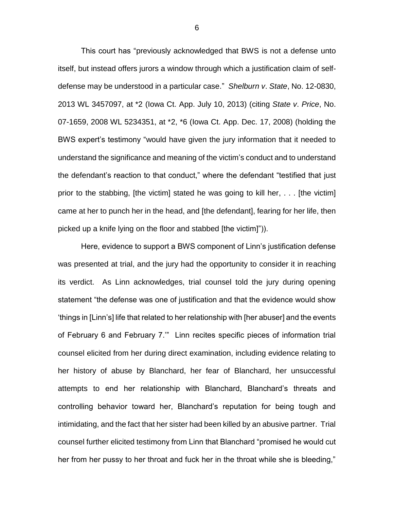This court has "previously acknowledged that BWS is not a defense unto itself, but instead offers jurors a window through which a justification claim of selfdefense may be understood in a particular case." *Shelburn v*. *State*, No. 12-0830, 2013 WL 3457097, at \*2 (Iowa Ct. App. July 10, 2013) (citing *State v*. *Price*, No. 07-1659, 2008 WL 5234351, at \*2, \*6 (Iowa Ct. App. Dec. 17, 2008) (holding the BWS expert's testimony "would have given the jury information that it needed to understand the significance and meaning of the victim's conduct and to understand the defendant's reaction to that conduct," where the defendant "testified that just prior to the stabbing, [the victim] stated he was going to kill her, . . . [the victim] came at her to punch her in the head, and [the defendant], fearing for her life, then picked up a knife lying on the floor and stabbed [the victim]")).

Here, evidence to support a BWS component of Linn's justification defense was presented at trial, and the jury had the opportunity to consider it in reaching its verdict. As Linn acknowledges, trial counsel told the jury during opening statement "the defense was one of justification and that the evidence would show 'things in [Linn's] life that related to her relationship with [her abuser] and the events of February 6 and February 7.'" Linn recites specific pieces of information trial counsel elicited from her during direct examination, including evidence relating to her history of abuse by Blanchard, her fear of Blanchard, her unsuccessful attempts to end her relationship with Blanchard, Blanchard's threats and controlling behavior toward her, Blanchard's reputation for being tough and intimidating, and the fact that her sister had been killed by an abusive partner. Trial counsel further elicited testimony from Linn that Blanchard "promised he would cut her from her pussy to her throat and fuck her in the throat while she is bleeding,"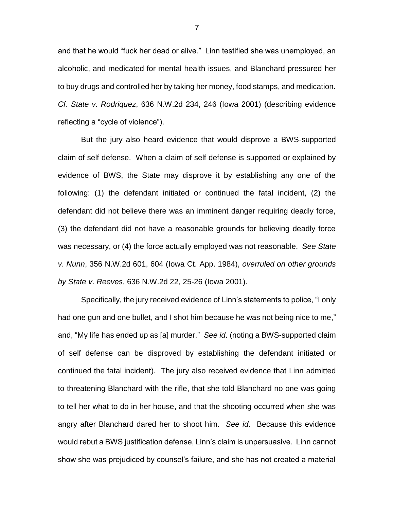and that he would "fuck her dead or alive." Linn testified she was unemployed, an alcoholic, and medicated for mental health issues, and Blanchard pressured her to buy drugs and controlled her by taking her money, food stamps, and medication. *Cf. State v. Rodriquez*, 636 N.W.2d 234, 246 (Iowa 2001) (describing evidence reflecting a "cycle of violence").

But the jury also heard evidence that would disprove a BWS-supported claim of self defense. When a claim of self defense is supported or explained by evidence of BWS, the State may disprove it by establishing any one of the following: (1) the defendant initiated or continued the fatal incident, (2) the defendant did not believe there was an imminent danger requiring deadly force, (3) the defendant did not have a reasonable grounds for believing deadly force was necessary, or (4) the force actually employed was not reasonable. *See State v*. *Nunn*, 356 N.W.2d 601, 604 (Iowa Ct. App. 1984), *overruled on other grounds by State v*. *Reeves*, 636 N.W.2d 22, 25-26 (Iowa 2001).

Specifically, the jury received evidence of Linn's statements to police, "I only had one gun and one bullet, and I shot him because he was not being nice to me," and, "My life has ended up as [a] murder." *See id*. (noting a BWS-supported claim of self defense can be disproved by establishing the defendant initiated or continued the fatal incident). The jury also received evidence that Linn admitted to threatening Blanchard with the rifle, that she told Blanchard no one was going to tell her what to do in her house, and that the shooting occurred when she was angry after Blanchard dared her to shoot him. *See id*. Because this evidence would rebut a BWS justification defense, Linn's claim is unpersuasive. Linn cannot show she was prejudiced by counsel's failure, and she has not created a material

7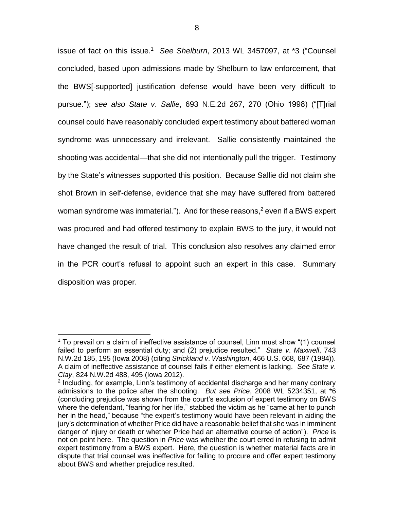issue of fact on this issue.<sup>1</sup> See Shelburn, 2013 WL 3457097, at \*3 ("Counsel concluded, based upon admissions made by Shelburn to law enforcement, that the BWS[-supported] justification defense would have been very difficult to pursue."); *see also State v*. *Sallie*, 693 N.E.2d 267, 270 (Ohio 1998) ("[T]rial counsel could have reasonably concluded expert testimony about battered woman syndrome was unnecessary and irrelevant. Sallie consistently maintained the shooting was accidental—that she did not intentionally pull the trigger. Testimony by the State's witnesses supported this position. Because Sallie did not claim she shot Brown in self-defense, evidence that she may have suffered from battered woman syndrome was immaterial."). And for these reasons,<sup>2</sup> even if a BWS expert was procured and had offered testimony to explain BWS to the jury, it would not have changed the result of trial. This conclusion also resolves any claimed error in the PCR court's refusal to appoint such an expert in this case. Summary disposition was proper.

 $\overline{a}$ 

<sup>1</sup> To prevail on a claim of ineffective assistance of counsel, Linn must show "(1) counsel failed to perform an essential duty; and (2) prejudice resulted." *State v*. *Maxwell*, 743 N.W.2d 185, 195 (Iowa 2008) (citing *Strickland v*. *Washington*, 466 U.S. 668, 687 (1984)). A claim of ineffective assistance of counsel fails if either element is lacking. *See State v*. *Clay*, 824 N.W.2d 488, 495 (Iowa 2012).

<sup>&</sup>lt;sup>2</sup> Including, for example, Linn's testimony of accidental discharge and her many contrary admissions to the police after the shooting. *But see Price*, 2008 WL 5234351, at \*6 (concluding prejudice was shown from the court's exclusion of expert testimony on BWS where the defendant, "fearing for her life," stabbed the victim as he "came at her to punch her in the head," because "the expert's testimony would have been relevant in aiding the jury's determination of whether Price did have a reasonable belief that she was in imminent danger of injury or death or whether Price had an alternative course of action"). *Price* is not on point here. The question in *Price* was whether the court erred in refusing to admit expert testimony from a BWS expert. Here, the question is whether material facts are in dispute that trial counsel was ineffective for failing to procure and offer expert testimony about BWS and whether prejudice resulted.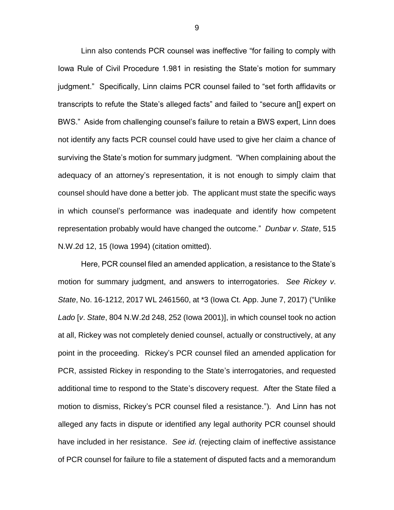Linn also contends PCR counsel was ineffective "for failing to comply with Iowa Rule of Civil Procedure 1.981 in resisting the State's motion for summary judgment." Specifically, Linn claims PCR counsel failed to "set forth affidavits or transcripts to refute the State's alleged facts" and failed to "secure an[] expert on BWS." Aside from challenging counsel's failure to retain a BWS expert, Linn does not identify any facts PCR counsel could have used to give her claim a chance of surviving the State's motion for summary judgment. "When complaining about the adequacy of an attorney's representation, it is not enough to simply claim that counsel should have done a better job. The applicant must state the specific ways in which counsel's performance was inadequate and identify how competent representation probably would have changed the outcome." *Dunbar v*. *State*, 515 N.W.2d 12, 15 (Iowa 1994) (citation omitted).

Here, PCR counsel filed an amended application, a resistance to the State's motion for summary judgment, and answers to interrogatories. *See Rickey v*. *State*, No. 16-1212, 2017 WL 2461560, at \*3 (Iowa Ct. App. June 7, 2017) ("Unlike *Lado* [*v*. *State*, 804 N.W.2d 248, 252 (Iowa 2001)], in which counsel took no action at all, Rickey was not completely denied counsel, actually or constructively, at any point in the proceeding. Rickey's PCR counsel filed an amended application for PCR, assisted Rickey in responding to the State's interrogatories, and requested additional time to respond to the State's discovery request. After the State filed a motion to dismiss, Rickey's PCR counsel filed a resistance."). And Linn has not alleged any facts in dispute or identified any legal authority PCR counsel should have included in her resistance. *See id*. (rejecting claim of ineffective assistance of PCR counsel for failure to file a statement of disputed facts and a memorandum

9